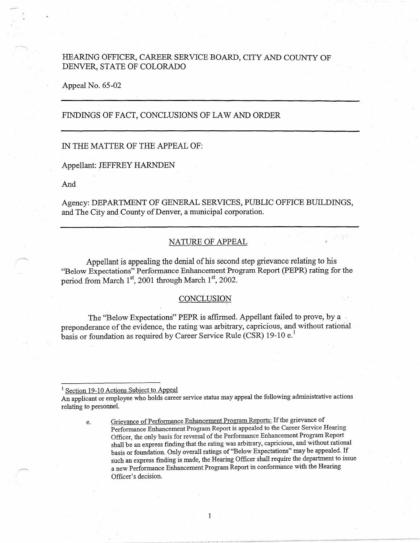# HEARING OFFICER, CAREER SERVICE BOARD, CITY AND COUNTY OF DENVER, STATE OF COLORADO

Appeal No. 65-02

# FINDINGS OF FACT, CONCLUSIONS OF LAW AND ORDER

## IN THE MATTER OF THE APPEAL OF:

#### Appellant: JEFFREY HARNDEN

And

Agency: DEPARTMENT OF GENERAL SERVICES, PUBLIC OFFICE BUILDINGS, and The City and County of Denver, a municipal corporation.

## NATURE OF APPEAL

e Algilia

Appellant is appealing the denial of his second step grievance relating to his "Below Expectations" Performance Enhancement Program Report (PEPR) rating for the period from March 1<sup>st</sup>, 2001 through March 1<sup>st</sup>, 2002.

## **CONCLUSION**

The ''Below Expectations" PEPR is affirmed. Appellant failed to prove, by a preponderance of the evidence, the rating was arbitrary, capricious, and without rational basis or foundation as required by Career Service Rule (CSR) 19-10 e.<sup>1</sup>

<sup>1</sup> Section 19-10 Actions Subject to Appeal

An applicant or employee who holds career service status may appeal the following administrative actions relating to personnel.

1

e. Grievance of Performance Enhancement Program Reports: If the grievance of Performance Enhancement Program Report is appealed to the Career Service Hearing Officer, the only basis for reversal of the Performance Enhancement Program Report shall be an express finding that the rating was arbitrary, capricious, and without rational basis or foundation. Only overall ratings of "Below Expectations" may be appealed. If such an express finding is made, the Hearing Officer shall require the department to issue a new Performance Enhancement Program Report in confomiance with the Hearing Officer's decision.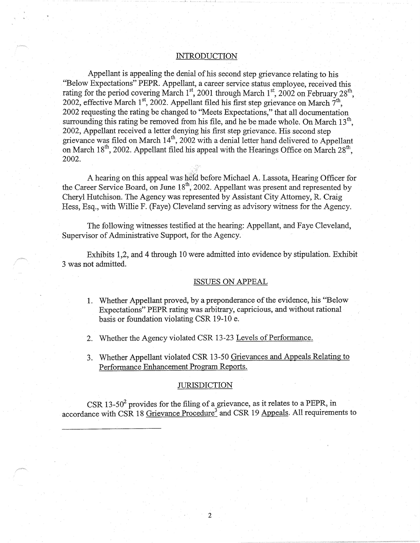#### **INTRODUCTION**

Appellant is appealing the denial of his second step grievance relating to his . ''Below Expectations" PEPR. Appellant, a career service status employee, received this rating for the period covering March 1st, 2001 through March 1st, 2002 on February 28<sup>th</sup>, 2002, effective March  $1^{st}$ , 2002. Appellant filed his first step grievance on March  $7^{th}$ . 2002 requesting the rating be changed to ''Meets Expectations," that all documentation surrounding this rating be removed from his file, and he be made whole. On March  $13<sup>th</sup>$ , 2002, Appellant received a letter denying his first step grievance. His second step grievance was filed on March  $14<sup>th</sup>$ , 2002 with a denial letter hand delivered to Appellant on March  $18<sup>th</sup>$ , 2002. Appellant filed his appeal with the Hearings Office on March  $28<sup>th</sup>$ . 2002. .

A hearing on this appeal was held before Michael A. Lassota, Hearing Officer for the Career Service Board, on June  $18^{th}$ , 2002. Appellant was present and represented by Cheryl Hutchison. The Agency was represented by Assistant City Attorney, R. Craig Hess, Esq., with Willie F. (Faye) Cleveland serving as advisory witness for the Agency.

The following witnesses testified at the hearing: Appellant, and Faye Cleveland, Supervisor of Administrative Support, for the Agency.

Exhibits 1,2, and 4 through 10 were admitted into evidence by stipulation. Exhibit 3 was not admitted.

#### ISSUES ON APPEAL

- 1. Whether Appellant proved, by a preponderance of the evidence, his "Below Expectations" PEPR rating was arbitrary, capricious, and without rational basis or foundation violating CSR 19-10 e.
- 2. Whether the Agency violated CSR 13-23 Levels of Performance.
- 3. Whether Appellant violated CSR 13-50 Grievances and Appeals Relating to Performance Enhancement Program Reports.

## **JURISDICTION**

CSR 13-50 $^2$  provides for the filing of a grievance, as it relates to a PEPR, in accordance with CSR 18 Grievance Procedure<sup>3</sup> and CSR 19 Appeals. All requirements to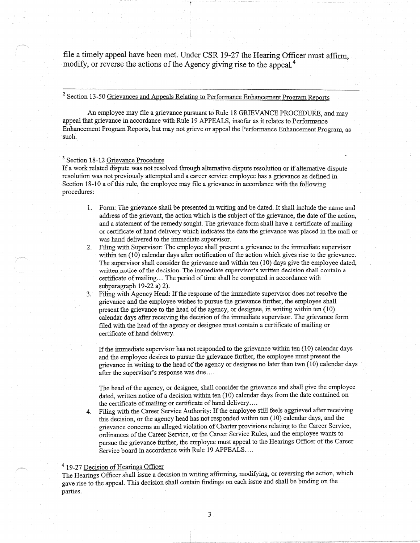file a timely appeal have been met. Under CSR 19-27 the Hearing Officer must affirm, modify, or reverse the actions of the Agency giving rise to the appeal.<sup>4</sup>

# <sup>2</sup> Section 13-50 Grievances and Appeals Relating to Performance Enhancement Program Reports

" - .

An employee may file a grievance pursuant to Rule 18 GRIEVANCE PROCEDURE, and may appeal that grievance in accordance with Rule 19 APPEALS, insofar as it relates to Performance Enhancement Program Reports, but may not grieve or appeal the Performance Enhancement Program, as such.

#### <sup>3</sup> Section 18-12 Grievance Procedure

· If a work related dispute was not resolved through alternative dispute resolution or if alternative dispute resolution was not previously attempted and a career service employee has a grievance as defined in Section 18-10 a of this rule, the employee may file a grievance in accordance with the following procedures:

- 1. Form: Tne grievance shall be presented in writing and be dated. It shall include the name and address of the grievant, the action which is the subject of the grievance, the date of the action, and a statement of the remedy sought. The grievance form shall have a certificate of mailing or certificate of hand delivery which indicates the date the grievance was placed in the mail or was hand delivered to the immediate supervisor.
- 2. Filing with Supervisor: The employee shall present a grievance to the immediate supervisor within ten ( 10) calendar days after notification of the action which gives rise to the grievance. The supervisor shall consider the grievance and within ten (10) days give the employee dated, written notice of the decision. The immediate supervisor's written decision shall contain **a**  certificate of mailing ... The period of time shall be computed in accordance with subparagraph 19-22 a) 2).
- 3. Filing with Agency Head: If the response of the immediate supervisor does not resolve the grievance and the employee wishes to pursue the grievance further, the employee shall present the grievance to the head of the agency, or designee, in writing within ten ( 10) calendar days after receiving the decision of the immediate supervisor. The grievance form filed with the head of the agency or designee must contain a certificate of mailing or certificate of hand delivery.

If the immediate supervisor has not responded to the grievance within ten (10) calendar days and the employee desires to pursue the grievance further, the employee must present the grievance in writing to the head of the agency or designee no later than twn (10) calendar days after the supervisor's response was due ....

The head of the agency, or designee, shall consider the grievance and shall give the employee dated, written notice of a decision within ten (10) calendar days from the date contained on the certificate of mailing or certificate of hand delivery .....

4. Filing with the Career Service Authority: If the employee still feels aggrieved after receiving this decision, or the agency head has not responded within ten (10) calendar days, and the grievance concerns an alleged violation of Charter provisions relating to the Career Service, ordinances of the Career Service, or the Career Service Rules, and the employee wants to pursue the grievance further, the employee must appeal to the Hearings Officer of the Career Service board in accordance with Rule 19 APPEALS....

#### <sup>4</sup> 19-27 Decision of Hearings Officer

The Hearings Officer shall issue a decision in writing affirming, modifying, or reversing the action, which . gave rise to the appeal. This decision shall contain findings on each issue and shall be binding on the parties.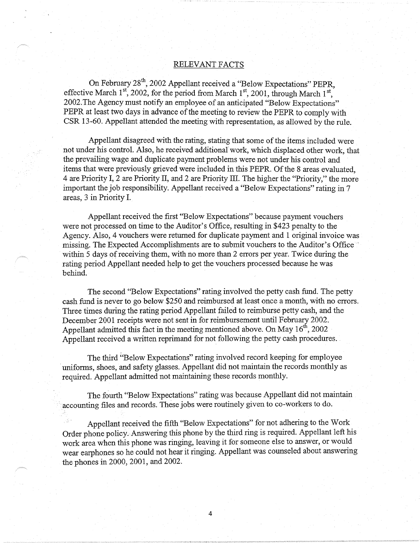# RELEVANT FACTS

On February 28<sup>th</sup>, 2002 Appellant received a "Below Expectations" PEPR, effective March 1st, 2002, for the period from March 1st, 2001, through March 1st, 2002.The Agency must notify an employee of an anticipated "Below Expectations" PEPR at least two days in advance of the meeting to review the PEPR to comply with CSR 13-60. Appellant attended the meeting with representation, as allowed by the rule.

Appellant disagreed with the rating, stating that some of the items included were not under his control. Also, he received additional work, which displaced other work, that the prevailing wage and duplicate payment problems were not under his control and items that were previously grieved were included in this PEPR. Of the 8 areas evaluated, 4 are Priority I, 2 are Priority II, and 2 are Priority III. The higher the "Priority," the more important the job responsibility. Appellant received a "Below Expectations" rating in 7 areas, 3 in Priority I.

Appellant received the first "Below Expectations" because payment vouchers were not processed on time to the Auditor's Office, resulting in \$423 penalty to the Agency. Also, 4 vouchers were returned for duplicate payment and 1 original invoice was missing. The Expected Accomplishments are to submit vouchers to the Auditor's Office within 5 days of receiving them, with no more than 2 errors per year. Twice during the rating period Appellant needed help to get the vouchers processed because he was behind.

The second "Below Expectations" rating involved the petty cash fund. The petty cash fund is never to go below \$250 and reimbursed at least once a month, with no errors. Three times during the rating period Appellant failed to reimburse petty cash, and the December 2001 receipts were not sent in for reimbursement until February 2002. Appellant admitted this fact in the meeting mentioned above. On May  $16<sup>th</sup>$ , 2002 Appellant received a written reprimand for not following the petty cash procedures.

The third "Below Expectations" rating involved record keeping for employee uniforms, shoes, and safety glasses. Appellant did not maintain the records monthly as required. Appellant admitted not maintaining these records monthly.

The fourth "Below Expectations" rating was because Appellant did not maintain accounting files and records. These jobs were routinely given to co-workers to do.

Appellant received the fifth "Below Expectations" for not adhering to the Work Order phone policy. Answering this phone by the third ring is required. Appellant left his work area when this phone was ringing, leaving it for someone else to answer, or would wear earphones so he could not hear it ringing. Appellant was counseled about answering the phones in 2000, 2001, and 2002.

4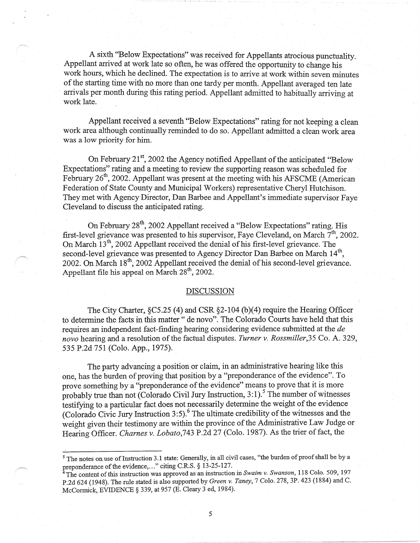A sixth "Below Expectations" was received for Appellants atrocious punctuality. Appellant arrived at work late so often, he was offered the opportunity to change his work hours, which he declined. The expectation is to arrive at work within seven minutes of the starting time with no more than one tardy per month. Appellant averaged ten late arrivals per month during this rating period. Appellant admitted to habitually arriving at work late.

Appellant received a seventh ''Below Expectations" rating for not keeping a clean work area although continually reminded to do so. Appellant admitted a clean work area was a low priority for him.

On February 21<sup>st</sup>, 2002 the Agency notified Appellant of the anticipated "Below Expectations" rating and a meeting to review the supporting reason was scheduled for February 26<sup>th</sup>, 2002. Appellant was present at the meeting with his AFSCME (American Federation of State County and Municipal Workers) representative Cheryl Hutchison. They met with Agency Director, Dan Barbee and Appellant's immediate supervisor Faye Cleveland to discuss the anticipated rating. ·

On February 28<sup>th</sup>, 2002 Appellant received a "Below Expectations" rating. His first-level grievance was presented to his supervisor, Faye Cleveland, on March  $7<sup>th</sup>$ , 2002. On March  $13<sup>th</sup>$ , 2002 Appellant received the denial of his first-level grievance. The second-level grievance was presented to Agency Director Dan Barbee on March 14<sup>th</sup>, 2002. On March 18<sup>th</sup>, 2002 Appellant received the denial of his second-level grievance. Appellant file his appeal on March 28<sup>th</sup>, 2002.

## DISCUSSION

The City Charter, §C5.25 (4) and CSR §2-104 (b)(4) require the Hearing Officer to determine the facts in this matter" de novo". The Colorado Courts have held that this requires an independent fact-finding hearing considering evidence submitted at the *de novo* hearing and a resolution of the factual disputes. *Turner v. Rossmiller,35* Co. A. 329, 535 P.2d 751 (Colo. App., 1975).

The party advancing a position or claim, in an administrative hearing like this one, has the burden of proving that position by a "preponderance of the evidence". To prove something by a "preponderance of the evidence" means to prove that it is more probably true than not (Colorado Civil Jury Instruction,  $3:1$ ).<sup>5</sup> The number of witnesses testifying to a particular fact does not necessarily determine the weight of the evidence (Colorado Civic Jury Instruction 3:5).<sup>6</sup> The ultimate credibility of the witnesses and the weight given their testimony are within the province of the Administrative Law Judge or Hearing Officer. *Charnes v. Lobato,743* P.2d 27 (Colo. 1987). As the trier of fact, the

*5* 

<sup>&</sup>lt;sup>5</sup> The notes on use of Instruction 3.1 state: Generally, in all civil cases, "the burden of proof shall be by a preponderance of the evidence, ... " citing C.R.S. § 13-25-127.

The content of this instruction was approved as an instruction in *Swaim v. Swanson*, 118 Colo. 509, 197 P.2d 624 (1948). The rule stated is also supported by *Green v. Taney*, 7 Colo. 278, 3P. 423 (1884) and C. McCormick, EVIDENCE § 339, at 957 (E. Cleary 3 ed, 1984).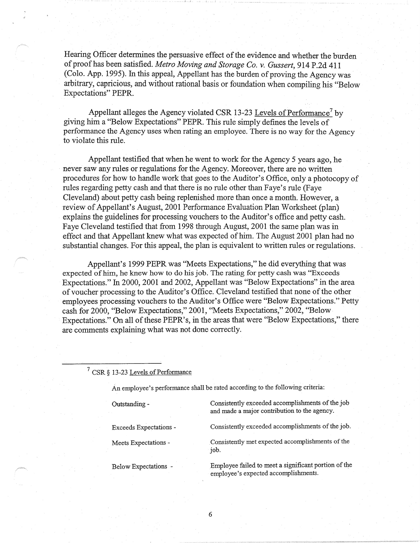Hearing Officer determines the persuasive effect of the evidence and whether the burden of proof has been satisfied. *Metro Moving and Storage Co. v. Gussert,* 914 P .2d 411 (Colo. App. 1995). In this appeal, Appellant has the burden of proving the Agency was· arbitrary, capricious, and without rational basis or foundation when compiling his "Below Expectations" PEPR.

Appellant alleges the Agency violated CSR 13-23 Levels of Performance<sup>7</sup> by giving him a ''Below Expectations" PEPR. This rule simply defines the levels of performance the Agency uses when rating an employee. There is no way for the Agency to violate this rule.

Appellant testified that when he went to work for the Agency 5 years ago, he never saw any rules or regulations for the Agency. Moreover, there are no written procedures for how to handle work that goes to the Auditor's Office, only a photocopy of rules regarding petty cash and that there is no rule other than Faye's rule (Faye Cleveland) about petty cash being replenished more than once a month. However, a review of Appellant's August, 2001 Performance Evaluation Plan Worksheet (plan) explains the guidelines for processing vouchers to the Auditor's office and petty cash. Faye Cleveland testified that from 1998 through August, 2001 the same plan was in effect and that Appellant knew what was expected of him. The August 2001 plan had no substantial changes. For this appeal, the plan is equivalent to written rules or regulations.

Appellant's 1999 PEPR was "Meets Expectations," he did everything that was expected of him, he knew how to do his job. The rating for petty cash was ''Exceeds Expectations." In 2000, 2001 and 2002, Appellant was "Below Expectations" in the area of voucher processing to the Auditor's Office. Cleveland testified that none of the other employees processing vouchers to the Auditor's Office were "Below Expectations." Petty cash for 2000, ''Below Expectations," 2001, ''Meets Expectations," 2002, "Below. Expectations." On all of these PEPR's, in the areas that were ''Below Expectations," there are comments explaining what was not done correctly.

7 CSR§ 13-23 Levels of Performance

An employee's performance shall be rated according to the following criteria:

Outstanding -

Exceeds Expectations -

Meets Expectations -

Below Expectations -

Consistently exceeded accomplishments of the job and made a major contribution to the agency.

Consistently exceeded accomplishments of the job.

. Consistently met expected accomplishments of the job.

Employee failed to meet a significant portion of the employee's expected accomplishments.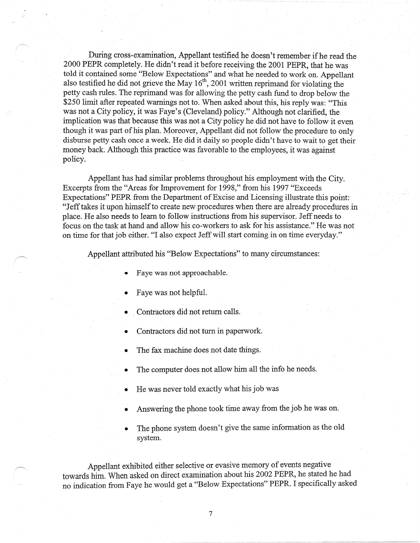During cross-examination, Appellant testified he doesn't remember if he read the 2000 PEPR completely. He didn't read it before receiving the 2001 PEPR, that he was told it contained some ''Below Expectations" and what he needed to work on. Appellant also testified he did not grieve the May  $16<sup>th</sup>$ , 2001 written reprimand for violating the petty cash rules. The reprimand was for allowing the petty cash fund to drop below the \$250 limit after repeated warnings not to. When asked about this, his reply was: "This was not a City policy, it was Faye's (Cleveland) policy." Although not clarified, the implication was that because this was not a City policy he did not have to follow it even though it was part of his plan. Moreover, Appellant did not follow the procedure to only disburse petty cash once a week. He did it daily so people didn't have to wait to get their money back. Although this practice was favorable to the employees, it was against policy.

Appellant has had similar problems throughout his employment with the City. Excerpts from the "Areas for Improvement for 1998," from his 1997 ''Exceeds Expectations" PEPR from the Department of Excise and Licensing illustrate this point: "Jeff takes it upon himself to create new procedures when there are already procedures in place. He also needs to learn to follow instructions from his supervisor. Jeff needs to focus on the task at hand and allow his co-workers to ask for his assistance." He was not on time for that job either. "I also expect Jeff will start coming in on time everyday."

Appellant attributed his ''Below Expectations" to many circumstances:

- Faye was not approachable.
- Faye was not helpful.
- Contractors did not return calls.
- Contractors did not turn in paperwork.
- The fax machine does not date things.
- The computer does not allow him all the info he needs.
- He was never told exactly what his job was
- Answering the phone took time away from the job he was on.
- The phone system doesn't give the same information as the old system.

Appellant exhibited either selective or evasive memory of events negative towards him. When asked on direct examination about his 2002 PEPR, he stated he had no indication from Faye he would get a "Below Expectations" PEPR. I specifically asked